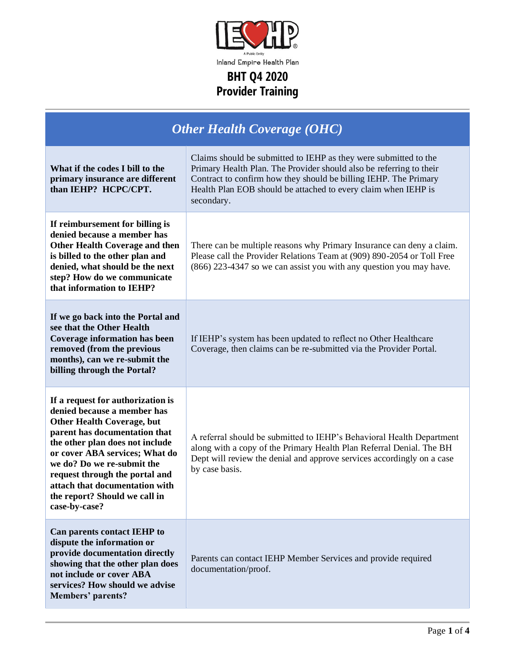

Inland Empire Health Plan

| <b>Other Health Coverage (OHC)</b>                                                                                                                                                                                                                                                                                                                              |                                                                                                                                                                                                                                                                                             |  |
|-----------------------------------------------------------------------------------------------------------------------------------------------------------------------------------------------------------------------------------------------------------------------------------------------------------------------------------------------------------------|---------------------------------------------------------------------------------------------------------------------------------------------------------------------------------------------------------------------------------------------------------------------------------------------|--|
| What if the codes I bill to the<br>primary insurance are different<br>than IEHP? HCPC/CPT.                                                                                                                                                                                                                                                                      | Claims should be submitted to IEHP as they were submitted to the<br>Primary Health Plan. The Provider should also be referring to their<br>Contract to confirm how they should be billing IEHP. The Primary<br>Health Plan EOB should be attached to every claim when IEHP is<br>secondary. |  |
| If reimbursement for billing is<br>denied because a member has<br><b>Other Health Coverage and then</b><br>is billed to the other plan and<br>denied, what should be the next<br>step? How do we communicate<br>that information to IEHP?                                                                                                                       | There can be multiple reasons why Primary Insurance can deny a claim.<br>Please call the Provider Relations Team at (909) 890-2054 or Toll Free<br>(866) 223-4347 so we can assist you with any question you may have.                                                                      |  |
| If we go back into the Portal and<br>see that the Other Health<br><b>Coverage information has been</b><br>removed (from the previous<br>months), can we re-submit the<br>billing through the Portal?                                                                                                                                                            | If IEHP's system has been updated to reflect no Other Healthcare<br>Coverage, then claims can be re-submitted via the Provider Portal.                                                                                                                                                      |  |
| If a request for authorization is<br>denied because a member has<br><b>Other Health Coverage, but</b><br>parent has documentation that<br>the other plan does not include<br>or cover ABA services; What do<br>we do? Do we re-submit the<br>request through the portal and<br>attach that documentation with<br>the report? Should we call in<br>case-by-case? | A referral should be submitted to IEHP's Behavioral Health Department<br>along with a copy of the Primary Health Plan Referral Denial. The BH<br>Dept will review the denial and approve services accordingly on a case<br>by case basis.                                                   |  |
| Can parents contact IEHP to<br>dispute the information or<br>provide documentation directly<br>showing that the other plan does<br>not include or cover ABA<br>services? How should we advise<br>Members' parents?                                                                                                                                              | Parents can contact IEHP Member Services and provide required<br>documentation/proof.                                                                                                                                                                                                       |  |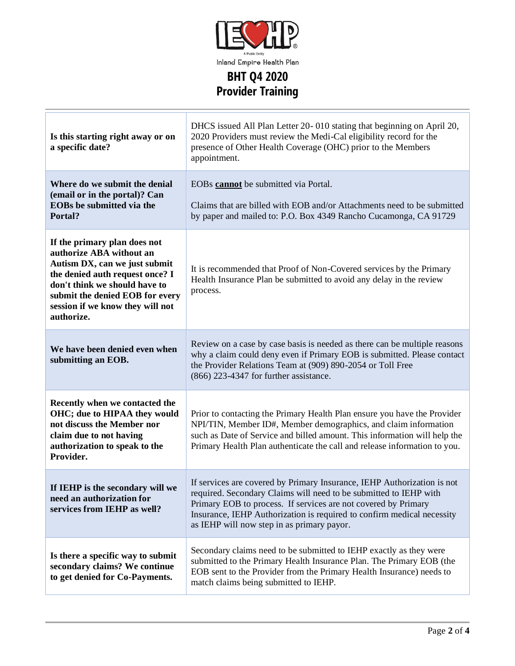

| Is this starting right away or on<br>a specific date?                                                                                                                                                                                              | DHCS issued All Plan Letter 20-010 stating that beginning on April 20,<br>2020 Providers must review the Medi-Cal eligibility record for the<br>presence of Other Health Coverage (OHC) prior to the Members<br>appointment.                                                                                                           |
|----------------------------------------------------------------------------------------------------------------------------------------------------------------------------------------------------------------------------------------------------|----------------------------------------------------------------------------------------------------------------------------------------------------------------------------------------------------------------------------------------------------------------------------------------------------------------------------------------|
| Where do we submit the denial<br>(email or in the portal)? Can<br><b>EOBs</b> be submitted via the<br>Portal?                                                                                                                                      | EOBs cannot be submitted via Portal.<br>Claims that are billed with EOB and/or Attachments need to be submitted<br>by paper and mailed to: P.O. Box 4349 Rancho Cucamonga, CA 91729                                                                                                                                                    |
| If the primary plan does not<br>authorize ABA without an<br>Autism DX, can we just submit<br>the denied auth request once? I<br>don't think we should have to<br>submit the denied EOB for every<br>session if we know they will not<br>authorize. | It is recommended that Proof of Non-Covered services by the Primary<br>Health Insurance Plan be submitted to avoid any delay in the review<br>process.                                                                                                                                                                                 |
| We have been denied even when<br>submitting an EOB.                                                                                                                                                                                                | Review on a case by case basis is needed as there can be multiple reasons<br>why a claim could deny even if Primary EOB is submitted. Please contact<br>the Provider Relations Team at (909) 890-2054 or Toll Free<br>$(866)$ 223-4347 for further assistance.                                                                         |
| Recently when we contacted the<br>OHC; due to HIPAA they would<br>not discuss the Member nor<br>claim due to not having<br>authorization to speak to the<br>Provider.                                                                              | Prior to contacting the Primary Health Plan ensure you have the Provider<br>NPI/TIN, Member ID#, Member demographics, and claim information<br>such as Date of Service and billed amount. This information will help the<br>Primary Health Plan authenticate the call and release information to you.                                  |
| If IEHP is the secondary will we<br>need an authorization for<br>services from IEHP as well?                                                                                                                                                       | If services are covered by Primary Insurance, IEHP Authorization is not<br>required. Secondary Claims will need to be submitted to IEHP with<br>Primary EOB to process. If services are not covered by Primary<br>Insurance, IEHP Authorization is required to confirm medical necessity<br>as IEHP will now step in as primary payor. |
| Is there a specific way to submit<br>secondary claims? We continue<br>to get denied for Co-Payments.                                                                                                                                               | Secondary claims need to be submitted to IEHP exactly as they were<br>submitted to the Primary Health Insurance Plan. The Primary EOB (the<br>EOB sent to the Provider from the Primary Health Insurance) needs to<br>match claims being submitted to IEHP.                                                                            |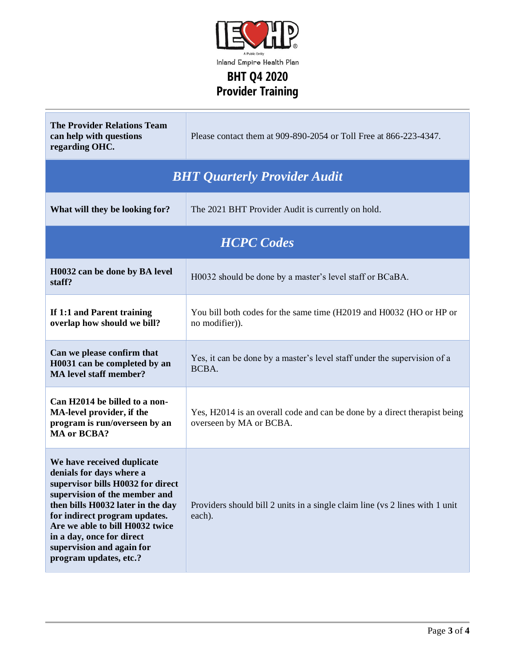

| <b>The Provider Relations Team</b><br>can help with questions<br>regarding OHC.                                                                                                                                                                                                                                           | Please contact them at 909-890-2054 or Toll Free at 866-223-4347.                                    |  |
|---------------------------------------------------------------------------------------------------------------------------------------------------------------------------------------------------------------------------------------------------------------------------------------------------------------------------|------------------------------------------------------------------------------------------------------|--|
| <b>BHT Quarterly Provider Audit</b>                                                                                                                                                                                                                                                                                       |                                                                                                      |  |
| What will they be looking for?                                                                                                                                                                                                                                                                                            | The 2021 BHT Provider Audit is currently on hold.                                                    |  |
| <b>HCPC</b> Codes                                                                                                                                                                                                                                                                                                         |                                                                                                      |  |
| H0032 can be done by BA level<br>staff?                                                                                                                                                                                                                                                                                   | H0032 should be done by a master's level staff or BCaBA.                                             |  |
| If 1:1 and Parent training<br>overlap how should we bill?                                                                                                                                                                                                                                                                 | You bill both codes for the same time (H2019 and H0032 (HO or HP or<br>no modifier)).                |  |
| Can we please confirm that<br>H0031 can be completed by an<br><b>MA</b> level staff member?                                                                                                                                                                                                                               | Yes, it can be done by a master's level staff under the supervision of a<br>BCBA.                    |  |
| Can H2014 be billed to a non-<br>MA-level provider, if the<br>program is run/overseen by an<br><b>MA</b> or <b>BCBA?</b>                                                                                                                                                                                                  | Yes, H2014 is an overall code and can be done by a direct therapist being<br>overseen by MA or BCBA. |  |
| We have received duplicate<br>denials for days where a<br>supervisor bills H0032 for direct<br>supervision of the member and<br>then bills H0032 later in the day<br>for indirect program updates.<br>Are we able to bill H0032 twice<br>in a day, once for direct<br>supervision and again for<br>program updates, etc.? | Providers should bill 2 units in a single claim line (vs 2 lines with 1 unit<br>each).               |  |